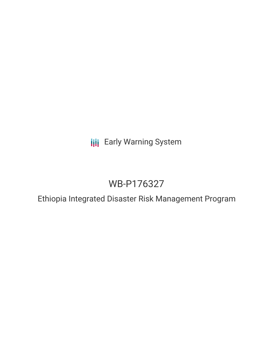**III** Early Warning System

# WB-P176327

Ethiopia Integrated Disaster Risk Management Program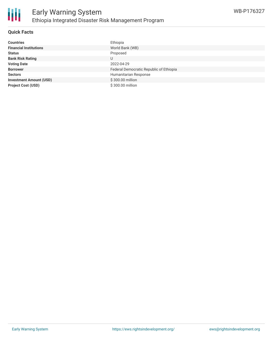

#### **Quick Facts**

| <b>Countries</b>               | Ethiopia                                |
|--------------------------------|-----------------------------------------|
| <b>Financial Institutions</b>  | World Bank (WB)                         |
| <b>Status</b>                  | Proposed                                |
| <b>Bank Risk Rating</b>        | U                                       |
| <b>Voting Date</b>             | 2022-04-29                              |
| <b>Borrower</b>                | Federal Democratic Republic of Ethiopia |
| <b>Sectors</b>                 | Humanitarian Response                   |
| <b>Investment Amount (USD)</b> | \$300.00 million                        |
| <b>Project Cost (USD)</b>      | \$300.00 million                        |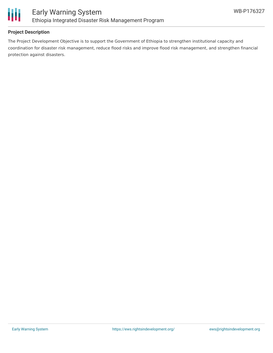

# **Project Description**

The Project Development Objective is to support the Government of Ethiopia to strengthen institutional capacity and coordination for disaster risk management, reduce flood risks and improve flood risk management, and strengthen financial protection against disasters.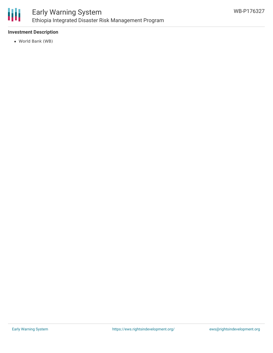

# **Investment Description**

World Bank (WB)